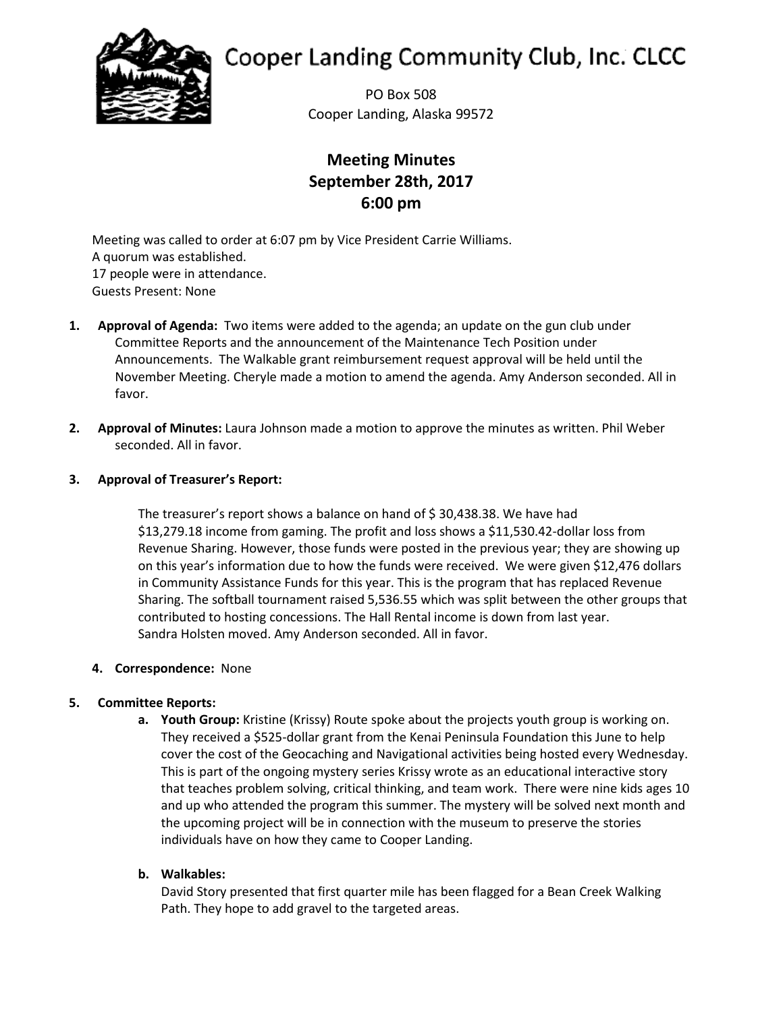

# **Cooper Landing Community Club, Inc. CLCC**

PO Box 508 Cooper Landing, Alaska 99572

# **Meeting Minutes September 28th, 2017 6:00 pm**

Meeting was called to order at 6:07 pm by Vice President Carrie Williams. A quorum was established. 17 people were in attendance. Guests Present: None

- **1. Approval of Agenda:** Two items were added to the agenda; an update on the gun club under Committee Reports and the announcement of the Maintenance Tech Position under Announcements. The Walkable grant reimbursement request approval will be held until the November Meeting. Cheryle made a motion to amend the agenda. Amy Anderson seconded. All in favor.
- **2. Approval of Minutes:** Laura Johnson made a motion to approve the minutes as written. Phil Weber seconded. All in favor.

# **3. Approval of Treasurer's Report:**

The treasurer's report shows a balance on hand of \$30,438.38. We have had \$13,279.18 income from gaming. The profit and loss shows a \$11,530.42-dollar loss from Revenue Sharing. However, those funds were posted in the previous year; they are showing up on this year's information due to how the funds were received. We were given \$12,476 dollars in Community Assistance Funds for this year. This is the program that has replaced Revenue Sharing. The softball tournament raised 5,536.55 which was split between the other groups that contributed to hosting concessions. The Hall Rental income is down from last year. Sandra Holsten moved. Amy Anderson seconded. All in favor.

## **4. Correspondence:** None

# **5. Committee Reports:**

**a. Youth Group:** Kristine (Krissy) Route spoke about the projects youth group is working on. They received a \$525-dollar grant from the Kenai Peninsula Foundation this June to help cover the cost of the Geocaching and Navigational activities being hosted every Wednesday. This is part of the ongoing mystery series Krissy wrote as an educational interactive story that teaches problem solving, critical thinking, and team work. There were nine kids ages 10 and up who attended the program this summer. The mystery will be solved next month and the upcoming project will be in connection with the museum to preserve the stories individuals have on how they came to Cooper Landing.

## **b. Walkables:**

David Story presented that first quarter mile has been flagged for a Bean Creek Walking Path. They hope to add gravel to the targeted areas.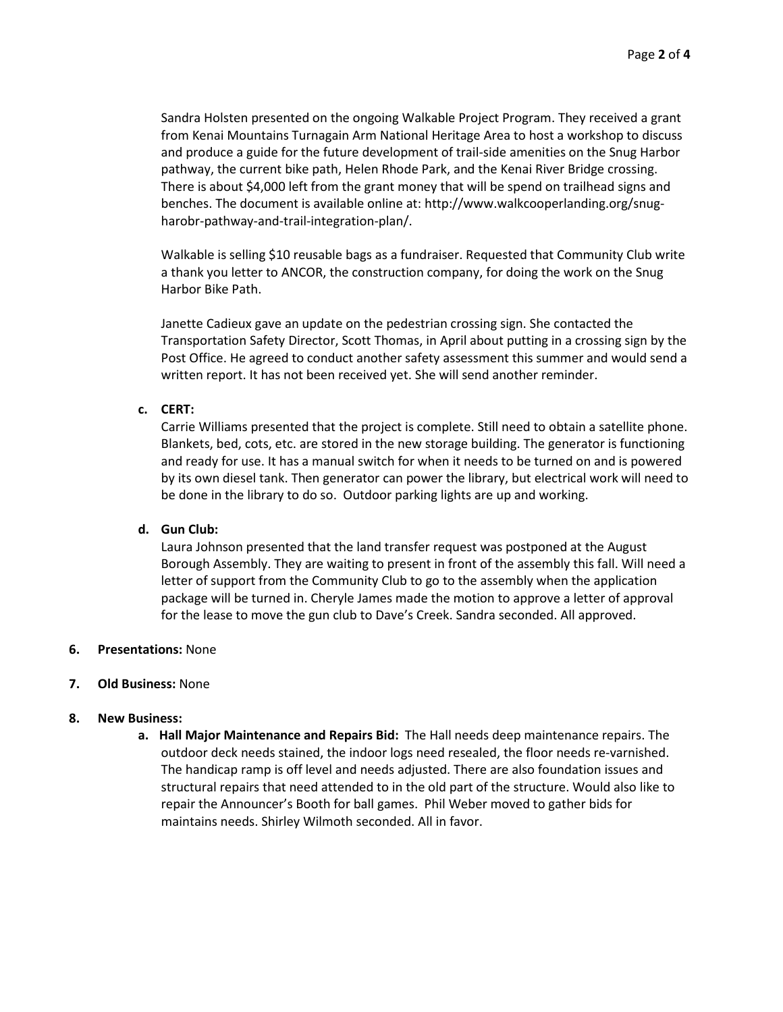Sandra Holsten presented on the ongoing Walkable Project Program. They received a grant from Kenai Mountains Turnagain Arm National Heritage Area to host a workshop to discuss and produce a guide for the future development of trail-side amenities on the Snug Harbor pathway, the current bike path, Helen Rhode Park, and the Kenai River Bridge crossing. There is about \$4,000 left from the grant money that will be spend on trailhead signs and benches. The document is available online at: http://www.walkcooperlanding.org/snugharobr-pathway-and-trail-integration-plan/.

Walkable is selling \$10 reusable bags as a fundraiser. Requested that Community Club write a thank you letter to ANCOR, the construction company, for doing the work on the Snug Harbor Bike Path.

Janette Cadieux gave an update on the pedestrian crossing sign. She contacted the Transportation Safety Director, Scott Thomas, in April about putting in a crossing sign by the Post Office. He agreed to conduct another safety assessment this summer and would send a written report. It has not been received yet. She will send another reminder.

#### **c. CERT:**

Carrie Williams presented that the project is complete. Still need to obtain a satellite phone. Blankets, bed, cots, etc. are stored in the new storage building. The generator is functioning and ready for use. It has a manual switch for when it needs to be turned on and is powered by its own diesel tank. Then generator can power the library, but electrical work will need to be done in the library to do so. Outdoor parking lights are up and working.

#### **d. Gun Club:**

Laura Johnson presented that the land transfer request was postponed at the August Borough Assembly. They are waiting to present in front of the assembly this fall. Will need a letter of support from the Community Club to go to the assembly when the application package will be turned in. Cheryle James made the motion to approve a letter of approval for the lease to move the gun club to Dave's Creek. Sandra seconded. All approved.

#### **6. Presentations:** None

#### **7. Old Business:** None

#### **8. New Business:**

**a. Hall Major Maintenance and Repairs Bid:** The Hall needs deep maintenance repairs. The outdoor deck needs stained, the indoor logs need resealed, the floor needs re-varnished. The handicap ramp is off level and needs adjusted. There are also foundation issues and structural repairs that need attended to in the old part of the structure. Would also like to repair the Announcer's Booth for ball games. Phil Weber moved to gather bids for maintains needs. Shirley Wilmoth seconded. All in favor.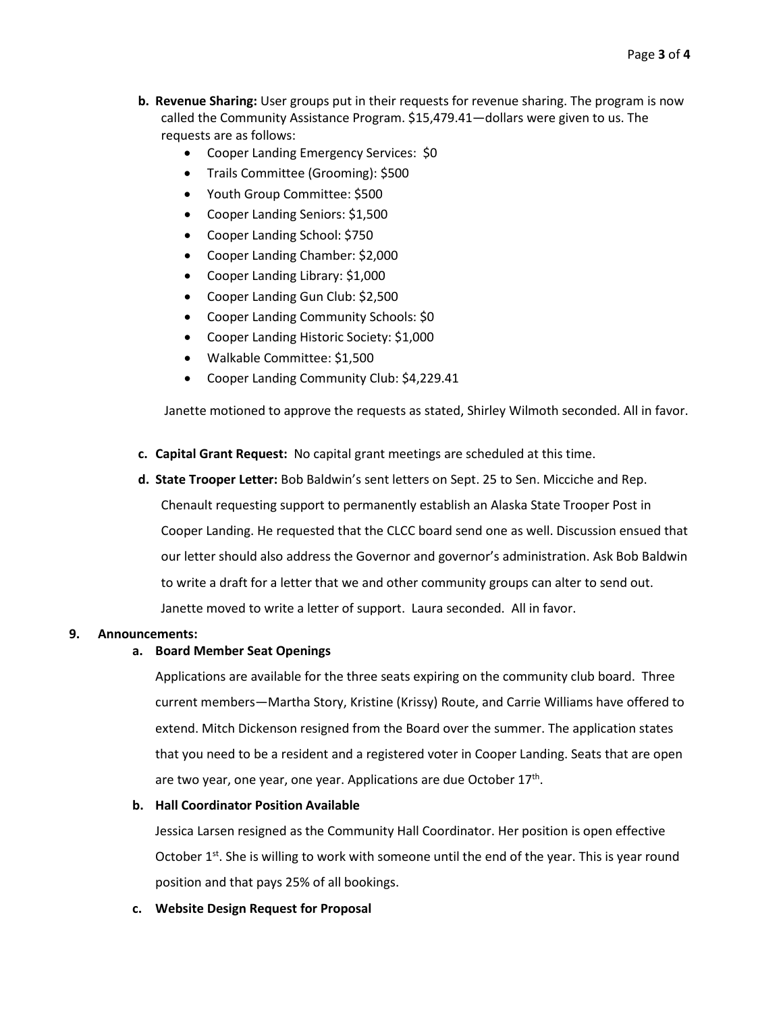- **b. Revenue Sharing:** User groups put in their requests for revenue sharing. The program is now called the Community Assistance Program. \$15,479.41—dollars were given to us. The requests are as follows:
	- Cooper Landing Emergency Services: \$0
	- Trails Committee (Grooming): \$500
	- Youth Group Committee: \$500
	- Cooper Landing Seniors: \$1,500
	- Cooper Landing School: \$750
	- Cooper Landing Chamber: \$2,000
	- Cooper Landing Library: \$1,000
	- Cooper Landing Gun Club: \$2,500
	- Cooper Landing Community Schools: \$0
	- Cooper Landing Historic Society: \$1,000
	- Walkable Committee: \$1,500
	- Cooper Landing Community Club: \$4,229.41

Janette motioned to approve the requests as stated, Shirley Wilmoth seconded. All in favor.

- **c. Capital Grant Request:** No capital grant meetings are scheduled at this time.
- **d. State Trooper Letter:** Bob Baldwin's sent letters on Sept. 25 to Sen. Micciche and Rep.

Chenault requesting support to permanently establish an Alaska State Trooper Post in Cooper Landing. He requested that the CLCC board send one as well. Discussion ensued that our letter should also address the Governor and governor's administration. Ask Bob Baldwin to write a draft for a letter that we and other community groups can alter to send out. Janette moved to write a letter of support. Laura seconded. All in favor.

#### **9. Announcements:**

#### **a. Board Member Seat Openings**

Applications are available for the three seats expiring on the community club board. Three current members—Martha Story, Kristine (Krissy) Route, and Carrie Williams have offered to extend. Mitch Dickenson resigned from the Board over the summer. The application states that you need to be a resident and a registered voter in Cooper Landing. Seats that are open are two year, one year, one year. Applications are due October  $17<sup>th</sup>$ .

#### **b. Hall Coordinator Position Available**

Jessica Larsen resigned as the Community Hall Coordinator. Her position is open effective October  $1<sup>st</sup>$ . She is willing to work with someone until the end of the year. This is year round position and that pays 25% of all bookings.

**c. Website Design Request for Proposal**